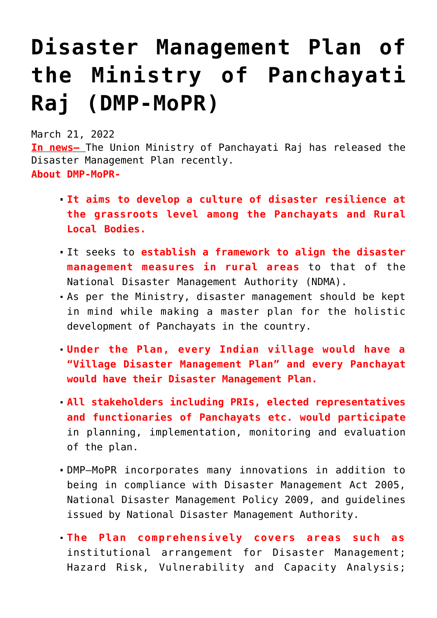## **[Disaster Management Plan of](https://journalsofindia.com/disaster-management-plan-of-the-ministry-of-panchayati-raj-dmp-mopr/) [the Ministry of Panchayati](https://journalsofindia.com/disaster-management-plan-of-the-ministry-of-panchayati-raj-dmp-mopr/) [Raj \(DMP-MoPR\)](https://journalsofindia.com/disaster-management-plan-of-the-ministry-of-panchayati-raj-dmp-mopr/)**

March 21, 2022

**In news–** The Union Ministry of Panchayati Raj has released the Disaster Management Plan recently. **About DMP-MoPR-**

- **It aims to develop a culture of disaster resilience at the grassroots level among the Panchayats and Rural Local Bodies.**
- It seeks to **establish a framework to align the disaster management measures in rural areas** to that of the National Disaster Management Authority (NDMA).
- As per the Ministry, disaster management should be kept in mind while making a master plan for the holistic development of Panchayats in the country.
- **Under the Plan, every Indian village would have a "Village Disaster Management Plan" and every Panchayat would have their Disaster Management Plan.**
- **All stakeholders including PRIs, elected representatives and functionaries of Panchayats etc. would participate** in planning, implementation, monitoring and evaluation of the plan.
- DMP–MoPR incorporates many innovations in addition to being in compliance with Disaster Management Act 2005, National Disaster Management Policy 2009, and guidelines issued by National Disaster Management Authority.
- **The Plan comprehensively covers areas such as** institutional arrangement for Disaster Management; Hazard Risk, Vulnerability and Capacity Analysis;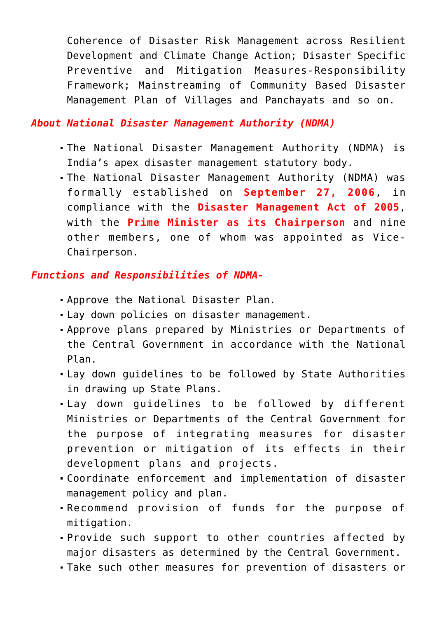Coherence of Disaster Risk Management across Resilient Development and Climate Change Action; Disaster Specific Preventive and Mitigation Measures-Responsibility Framework; Mainstreaming of Community Based Disaster Management Plan of Villages and Panchayats and so on.

## *About National Disaster Management Authority (NDMA)*

- The National Disaster Management Authority (NDMA) is India's apex disaster management statutory body.
- The National Disaster Management Authority (NDMA) was formally established on **September 27, 2006**, in compliance with the **Disaster Management Act of 2005**, with the **Prime Minister as its Chairperson** and nine other members, one of whom was appointed as Vice-Chairperson.

## *Functions and Responsibilities of NDMA-*

- Approve the National Disaster Plan.
- Lay down policies on disaster management.
- Approve plans prepared by Ministries or Departments of the Central Government in accordance with the National Plan.
- Lay down guidelines to be followed by State Authorities in drawing up State Plans.
- Lay down guidelines to be followed by different Ministries or Departments of the Central Government for the purpose of integrating measures for disaster prevention or mitigation of its effects in their development plans and projects.
- Coordinate enforcement and implementation of disaster management policy and plan.
- Recommend provision of funds for the purpose of mitigation.
- Provide such support to other countries affected by major disasters as determined by the Central Government.
- Take such other measures for prevention of disasters or